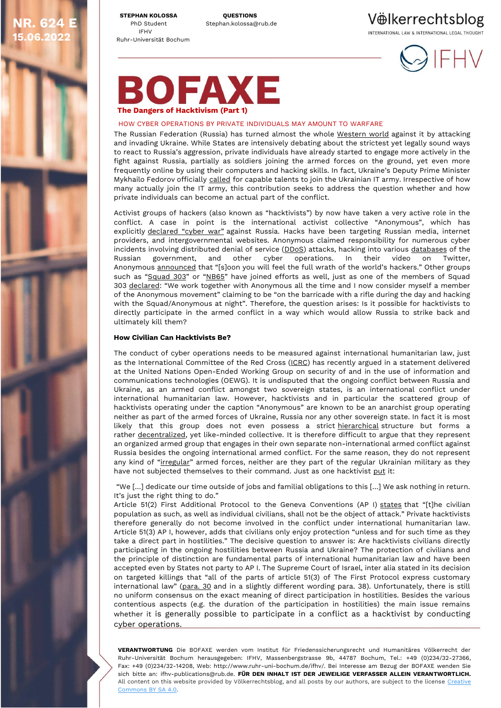**STEPHAN KOLOSSA QUESTIONS** IFHV Ruhr-Universität Bochum

**R. 624 15.06.2022**

PhD Student Stephan.kolossa@rub.de

Vülkerrechtsblog INTERNATIONAL LAW & INTERNATIONAL LEGAL THOUGHT



## OFAXE **The Dangers of Hacktivism (Part 1)**

### HOW CYBER OPERATIONS BY PRIVATE INDIVIDUALS MAY AMOUNT TO WARFARE

The Russian Federation (Russia) has turned almost the whole [Western world](https://new-york-un.diplo.de/blob/2515116/4685bdecc4ff06d9a0c6977086f8d7f8/220302-unga-resolution-aggression-against-ukraine-data.pdf) against it by attacking and invading Ukraine. While States are intensively debating about the strictest yet legally sound ways to react to Russia's aggression, private individuals have already started to engage more actively in the fight against Russia, partially as soldiers joining the armed forces on the ground, yet even more frequently online by using their computers and hacking skills. In fact, Ukraine's Deputy Prime Minister Mykhailo Fedorov officially [called](https://twitter.com/FedorovMykhailo/status/1497642156076511233?ref_src=twsrc%5Etfw%7Ctwcamp%5Etweetembed%7Ctwterm%5E1497642156076511233%7Ctwgr%5E%7Ctwcon%5Es1_&ref_url=https%3A%2F%2Fbeincrypto.com%2Fanonymous-will-pay-russian-troops-52000-in-btc-for-each-tank%2F) for capable talents to join the Ukrainian IT army. Irrespective of how many actually join the IT army, this contribution seeks to address the question whether and how private individuals can become an actual part of the conflict.

Activist groups of hackers (also known as "hacktivists") by now have taken a very active role in the conflict. A case in point is the international activist collective "Anonymous", which has explicitly [declared "cyber war"](https://www.theguardian.com/world/2022/feb/27/anonymous-the-hacker-collective-that-has-declared-cyberwar-on-russia) against Russia. Hacks have been targeting Russian media, internet providers, and intergovernmental websites. Anonymous claimed responsibility for numerous cyber incidents involving distributed denial of service [\(DDoS\)](https://news.bitcoin.com/hacker-group-anonymous-vows-to-disrupt-russias-internet-rt-websites-become-subject-of-massive-ddos-attacks/) attacks, hacking into various [databases](https://fortune.com/2022/03/24/anonymous-says-hacked-russia-central-bank-ukraine-cyber-war/) of the Russian government, and other cyber operations. In their video on Twitter, Anonymous [announced](https://twitter.com/LatestAnonPress/status/1497786715783798785) that "[s]oon you will feel the full wrath of the world's hackers." Other groups such as "[Squad 303](https://www.thetechoutlook.com/news/new-release/software-apps/who-is-squad303-that-is-attacking-russia-with-text-messages/)" or "[NB65](https://www.hstoday.us/featured/hackers-turn-conti-ransomware-against-russia-as-twitter-suspends-some-anonymous-accounts/)" have joined efforts as well, just as one of the members of Squad 303 [declared](https://www.bbc.com/news/technology-60784526): "We work together with Anonymous all the time and I now consider myself a member of the Anonymous movement" claiming to be "on the barricade with a rifle during the day and hacking with the Squad/Anonymous at night". Therefore, the question arises: Is it possible for hacktivists to directly participate in the armed conflict in a way which would allow Russia to strike back and ultimately kill them?

#### **How Civilian Can Hacktivists Be?**

The conduct of cyber operations needs to be measured against international humanitarian law, just as the International Committee of the Red Cross [\(ICRC\)](https://www.icrc.org/en/document/international-humanitarian-law-limits-cyber-operations) has recently argued in a statement delivered at the United Nations Open-Ended Working Group on security of and in the use of information and communications technologies (OEWG). It is undisputed that the ongoing conflict between Russia and Ukraine, as an armed conflict amongst two sovereign states, is an international conflict under international humanitarian law. However, hacktivists and in particular the scattered group of hacktivists operating under the caption "Anonymous" are known to be an anarchist group operating neither as part of the armed forces of Ukraine, Russia nor any other sovereign state. In fact it is most likely that this group does not even possess a strict [hierarchical](https://www.forbes.com/sites/parmyolson/2012/06/05/5-things-every-organization-can-learn-from-anonymous/?sh=775ec60c77d0) structure but forms a rather [decentralized,](https://www.cnbc.com/2022/03/25/what-is-anonymous-the-group-went-from-4chan-to-cyberattacks-on-russia.html) yet like-minded collective. It is therefore difficult to argue that they represent an organized armed group that engages in their own separate non-international armed conflict against Russia besides the ongoing international armed conflict. For the same reason, they do not represent any kind of "[irregular](https://ihl-databases.icrc.org/customary-ihl/eng/docs/v2_rul_rule4)" armed forces, neither are they part of the regular Ukrainian military as they have not subjected themselves to their command. Just as one hacktivist [put](https://www.washingtonpost.com/technology/2022/05/01/russia-cyber-attacks-hacking/) it:

"We […] dedicate our time outside of jobs and familial obligations to this […] We ask nothing in return. It's just the right thing to do."

Article 51(2) First Additional Protocol to the Geneva Conventions (AP I) [states](https://ihl-databases.icrc.org/applic/ihl/ihl.nsf/Article.xsp?action=openDocument&documentId=4BEBD9920AE0AEAEC12563CD0051DC9E) that "[t]he civilian population as such, as well as individual civilians, shall not be the object of attack." Private hacktivists therefore generally do not become involved in the conflict under international humanitarian law. Article 51(3) AP I, however, adds that civilians only enjoy protection "unless and for such time as they take a direct part in hostilities." The decisive question to answer is: Are hacktivists civilians directly participating in the ongoing hostilities between Russia and Ukraine? The protection of civilians and the principle of distinction are fundamental parts of international humanitarian law and have been accepted even by States not party to AP I. The Supreme Court of Israel, inter alia stated in its decision on targeted killings that "all of the parts of article 51(3) of The First Protocol express customary international law" ([para. 30](https://casebook.icrc.org/case-study/israel-targeted-killings-case) and in a slightly different wording para. 38). Unfortunately, there is still no uniform consensus on the exact meaning of direct participation in hostilities. Besides the various contentious aspects (e.g. the duration of the participation in hostilities) the main issue remains whether it is generally possible to participate in a conflict as a hacktivist by conducting cyber operations.

**VERANTWORTUNG** Die BOFAXE werden vom Institut für Friedenssicherungsrecht und Humanitäres Völkerrecht der Ruhr-Universität Bochum herausgegeben: IFHV, Massenbergstrasse 9b, 44787 Bochum, Tel.: +49 (0)234/32-27366, Fax: +49 (0)234/32-14208, Web: http://www.ruhr-uni-bochum.de/ifhv/. Bei Interesse am Bezug der BOFAXE wenden Sie sich bitte an: ifhv-publications@rub.de. **FÜR DEN INHALT IST DER JEWEILIGE VERFASSER ALLEIN VERANTWORTLICH.** All content on this website provided by Völkerrechtsblog, and all posts by our authors, are subject to the license Creative [Commons BY SA 4.0.](https://creativecommons.org/licenses/by-sa/4.0/)